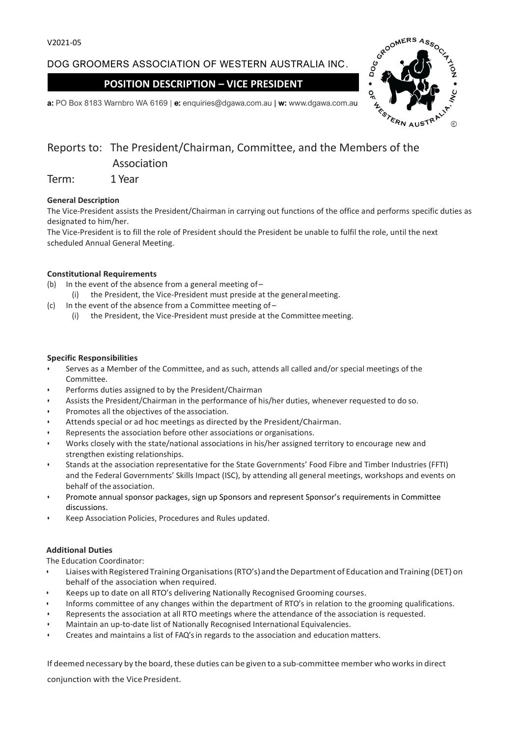# DOG GROOMERS ASSOCIATION OF WESTERN AUSTRALIA INC.

## **POSITION DESCRIPTION – VICE PRESIDENT**



**a:** PO Box 8183 Warnbro WA 6169 | **e:** enquiries@dgawa.com.au | **w:** www.dgawa.com.au

# Reports to: The President/Chairman, Committee, and the Members of the Association

Term: 1 Year

## **General Description**

The Vice-President assists the President/Chairman in carrying out functions of the office and performs specific duties as designated to him/her.

The Vice-President is to fill the role of President should the President be unable to fulfil the role, until the next scheduled Annual General Meeting.

### **Constitutional Requirements**

- (b) In the event of the absence from a general meeting of  $-$ 
	- (i) the President, the Vice-President must preside at the generalmeeting.
- (c) In the event of the absence from a Committee meeting of
	- (i) the President, the Vice-President must preside at the Committeemeeting.

#### **Specific Responsibilities**

- Serves as a Member of the Committee, and as such, attends all called and/or special meetings of the Committee.
- Performs duties assigned to by the President/Chairman
- Assists the President/Chairman in the performance of his/her duties, whenever requested to do so.
- Promotes all the objectives of the association.
- Attends special or ad hoc meetings as directed by the President/Chairman.
- Represents the association before other associations or organisations.
- Works closely with the state/national associations in his/her assigned territory to encourage new and strengthen existing relationships.
- Stands at the association representative for the State Governments' Food Fibre and Timber Industries (FFTI) and the Federal Governments' Skills Impact (ISC), by attending all general meetings, workshops and events on behalf of the association.
- Promote annual sponsor packages, sign up Sponsors and represent Sponsor's requirements in Committee discussions.
- Keep Association Policies, Procedures and Rules updated.

#### **Additional Duties**

The Education Coordinator:

- Liaiseswith RegisteredTrainingOrganisations(RTO's) and theDepartment of Education andTraining (DET) on behalf of the association when required.
- Keeps up to date on all RTO's delivering Nationally Recognised Grooming courses.
- Informs committee of any changes within the department of RTO's in relation to the grooming qualifications.
- Represents the association at all RTO meetings where the attendance of the association is requested.
- Maintain an up-to-date list of Nationally Recognised International Equivalencies.
- Creates and maintains a list of FAQ's in regards to the association and education matters.

If deemed necessary by the board, these duties can be given to a sub-committee member who worksin direct

conjunction with the VicePresident.